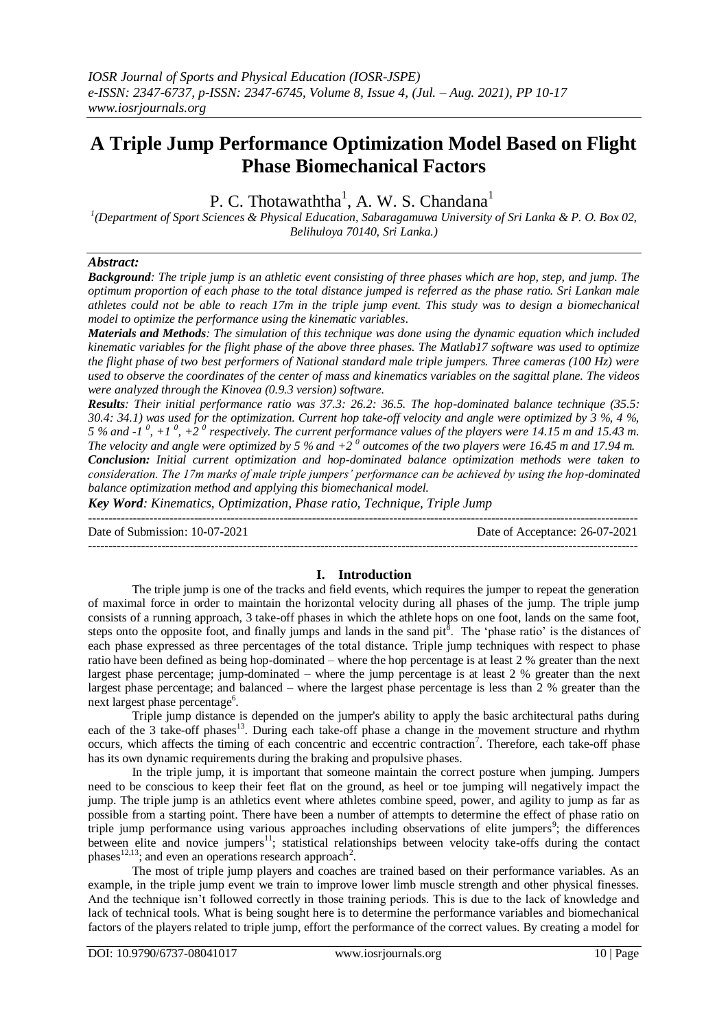# **A Triple Jump Performance Optimization Model Based on Flight Phase Biomechanical Factors**

P. C. Thotawaththa<sup>1</sup>, A. W. S. Chandana<sup>1</sup>

*1 (Department of Sport Sciences & Physical Education, Sabaragamuwa University of Sri Lanka & P. O. Box 02, Belihuloya 70140, Sri Lanka.)*

## *Abstract:*

*Background: The triple jump is an athletic event consisting of three phases which are hop, step, and jump. The optimum proportion of each phase to the total distance jumped is referred as the phase ratio. Sri Lankan male athletes could not be able to reach 17m in the triple jump event. This study was to design a biomechanical model to optimize the performance using the kinematic variables.*

*Materials and Methods: The simulation of this technique was done using the dynamic equation which included kinematic variables for the flight phase of the above three phases. The Matlab17 software was used to optimize the flight phase of two best performers of National standard male triple jumpers. Three cameras (100 Hz) were used to observe the coordinates of the center of mass and kinematics variables on the sagittal plane. The videos were analyzed through the Kinovea (0.9.3 version) software.*

*Results: Their initial performance ratio was 37.3: 26.2: 36.5. The hop-dominated balance technique (35.5: 30.4: 34.1) was used for the optimization. Current hop take-off velocity and angle were optimized by 3 %, 4 %,*  5 % and  $\cdot$  1<sup>0</sup>,  $+1$ <sup>0</sup>,  $+2$ <sup>0</sup> respectively. The current performance values of the players were 14.15 m and 15.43 m. The velocity and angle were optimized by 5 % and  $+2^0$  outcomes of the two players were 16.45 m and 17.94 m. *Conclusion: Initial current optimization and hop-dominated balance optimization methods were taken to consideration. The 17m marks of male triple jumpers' performance can be achieved by using the hop-dominated balance optimization method and applying this biomechanical model.*

*Key Word: Kinematics, Optimization, Phase ratio, Technique, Triple Jump*

--------------------------------------------------------------------------------------------------------------------------------------- Date of Submission: 10-07-2021 Date of Acceptance: 26-07-2021  $-1\leq i\leq n-1$ 

## **I. Introduction**

The triple jump is one of the tracks and field events, which requires the jumper to repeat the generation of maximal force in order to maintain the horizontal velocity during all phases of the jump. The triple jump consists of a running approach, 3 take-off phases in which the athlete hops on one foot, lands on the same foot, steps onto the opposite foot, and finally jumps and lands in the sand pit<sup>8</sup>. The 'phase ratio' is the distances of each phase expressed as three percentages of the total distance. Triple jump techniques with respect to phase ratio have been defined as being hop-dominated – where the hop percentage is at least 2 % greater than the next largest phase percentage; jump-dominated – where the jump percentage is at least 2 % greater than the next largest phase percentage; and balanced – where the largest phase percentage is less than 2 % greater than the next largest phase percentage<sup>6</sup>.

Triple jump distance is depended on the jumper's ability to apply the basic architectural paths during each of the 3 take-off phases<sup>13</sup>. During each take-off phase a change in the movement structure and rhythm occurs, which affects the timing of each concentric and eccentric contraction<sup>7</sup>. Therefore, each take-off phase has its own dynamic requirements during the braking and propulsive phases.

In the triple jump, it is important that someone maintain the correct posture when jumping. Jumpers need to be conscious to keep their feet flat on the ground, as heel or toe jumping will negatively impact the jump. The triple jump is an athletics event where athletes combine speed, power, and agility to jump as far as possible from a starting point. There have been a number of attempts to determine the effect of phase ratio on triple jump performance using various approaches including observations of elite jumpers<sup>9</sup>; the differences between elite and novice jumpers<sup>11</sup>; statistical relationships between velocity take-offs during the contact phases<sup>12,13</sup>; and even an operations research approach<sup>2</sup>.

The most of triple jump players and coaches are trained based on their performance variables. As an example, in the triple jump event we train to improve lower limb muscle strength and other physical finesses. And the technique isn't followed correctly in those training periods. This is due to the lack of knowledge and lack of technical tools. What is being sought here is to determine the performance variables and biomechanical factors of the players related to triple jump, effort the performance of the correct values. By creating a model for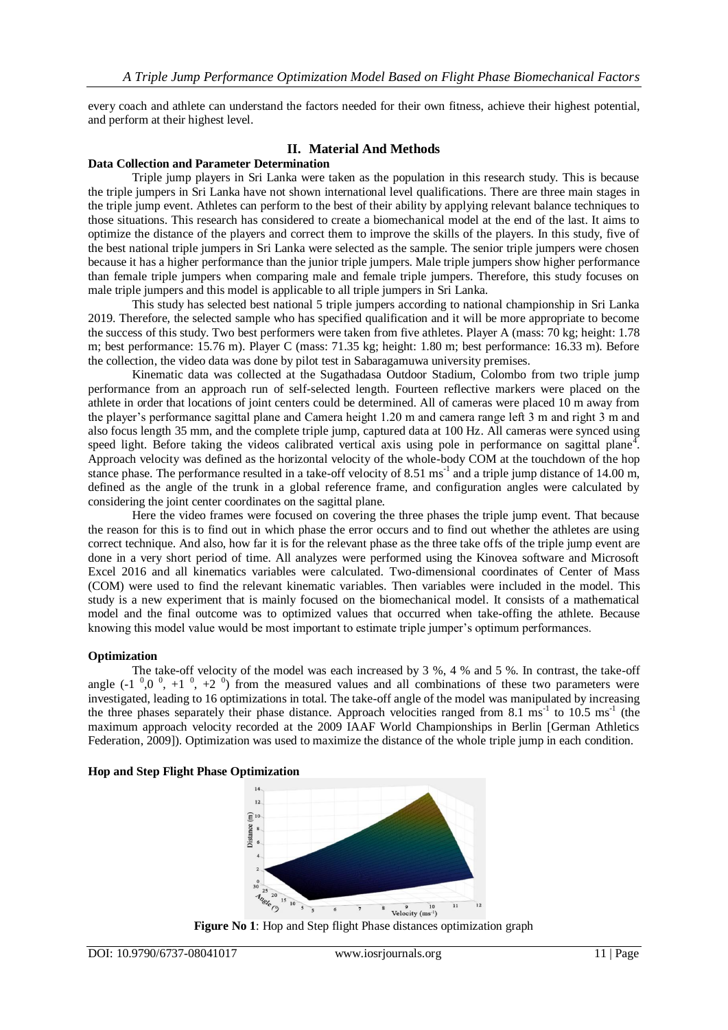every coach and athlete can understand the factors needed for their own fitness, achieve their highest potential, and perform at their highest level.

## **II. Material And Methods**

#### **Data Collection and Parameter Determination**

Triple jump players in Sri Lanka were taken as the population in this research study. This is because the triple jumpers in Sri Lanka have not shown international level qualifications. There are three main stages in the triple jump event. Athletes can perform to the best of their ability by applying relevant balance techniques to those situations. This research has considered to create a biomechanical model at the end of the last. It aims to optimize the distance of the players and correct them to improve the skills of the players. In this study, five of the best national triple jumpers in Sri Lanka were selected as the sample. The senior triple jumpers were chosen because it has a higher performance than the junior triple jumpers. Male triple jumpers show higher performance than female triple jumpers when comparing male and female triple jumpers. Therefore, this study focuses on male triple jumpers and this model is applicable to all triple jumpers in Sri Lanka.

This study has selected best national 5 triple jumpers according to national championship in Sri Lanka 2019. Therefore, the selected sample who has specified qualification and it will be more appropriate to become the success of this study. Two best performers were taken from five athletes. Player A (mass: 70 kg; height: 1.78 m; best performance: 15.76 m). Player C (mass: 71.35 kg; height: 1.80 m; best performance: 16.33 m). Before the collection, the video data was done by pilot test in Sabaragamuwa university premises.

Kinematic data was collected at the Sugathadasa Outdoor Stadium, Colombo from two triple jump performance from an approach run of self-selected length. Fourteen reflective markers were placed on the athlete in order that locations of joint centers could be determined. All of cameras were placed 10 m away from the player's performance sagittal plane and Camera height 1.20 m and camera range left 3 m and right 3 m and also focus length 35 mm, and the complete triple jump, captured data at 100 Hz. All cameras were synced using speed light. Before taking the videos calibrated vertical axis using pole in performance on sagittal plane<sup>4</sup>. Approach velocity was defined as the horizontal velocity of the whole-body COM at the touchdown of the hop stance phase. The performance resulted in a take-off velocity of 8.51 ms<sup>-1</sup> and a triple jump distance of 14.00 m, defined as the angle of the trunk in a global reference frame, and configuration angles were calculated by considering the joint center coordinates on the sagittal plane.

Here the video frames were focused on covering the three phases the triple jump event. That because the reason for this is to find out in which phase the error occurs and to find out whether the athletes are using correct technique. And also, how far it is for the relevant phase as the three take offs of the triple jump event are done in a very short period of time. All analyzes were performed using the Kinovea software and Microsoft Excel 2016 and all kinematics variables were calculated. Two-dimensional coordinates of Center of Mass (COM) were used to find the relevant kinematic variables. Then variables were included in the model. This study is a new experiment that is mainly focused on the biomechanical model. It consists of a mathematical model and the final outcome was to optimized values that occurred when take-offing the athlete. Because knowing this model value would be most important to estimate triple jumper's optimum performances.

#### **Optimization**

The take-off velocity of the model was each increased by 3 %, 4 % and 5 %. In contrast, the take-off angle  $(-1, 0, 0, 0, +1, 0, +2, 0)$  from the measured values and all combinations of these two parameters were investigated, leading to 16 optimizations in total. The take-off angle of the model was manipulated by increasing the three phases separately their phase distance. Approach velocities ranged from 8.1 ms<sup>-1</sup> to 10.5 ms<sup>-1</sup> (the maximum approach velocity recorded at the 2009 IAAF World Championships in Berlin [German Athletics Federation, 2009]). Optimization was used to maximize the distance of the whole triple jump in each condition.

## **Hop and Step Flight Phase Optimization**



**Figure No 1**: Hop and Step flight Phase distances optimization graph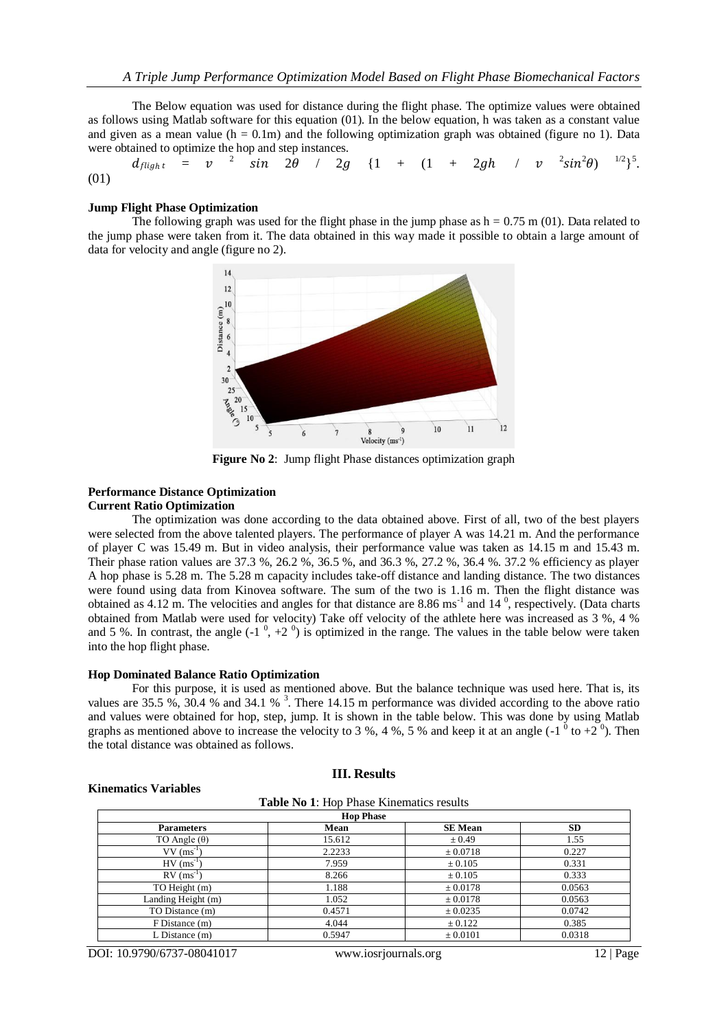The Below equation was used for distance during the flight phase. The optimize values were obtained as follows using Matlab software for this equation (01). In the below equation, h was taken as a constant value and given as a mean value ( $h = 0.1$ m) and the following optimization graph was obtained (figure no 1). Data were obtained to optimize the hop and step instances.

2  $\sin$  2 $\theta$  / 2 $g$  {1 + (1 + 2 $gh$  / v  $^{2}sin^{2}\theta$ )  $^{1/2}$ } 5 .  $d_{flight}$  =  $\boldsymbol{v}$ (01)

#### **Jump Flight Phase Optimization**

The following graph was used for the flight phase in the jump phase as  $h = 0.75$  m (01). Data related to the jump phase were taken from it. The data obtained in this way made it possible to obtain a large amount of data for velocity and angle (figure no 2).



**Figure No 2**: Jump flight Phase distances optimization graph

## **Performance Distance Optimization**

## **Current Ratio Optimization**

The optimization was done according to the data obtained above. First of all, two of the best players were selected from the above talented players. The performance of player A was 14.21 m. And the performance of player C was 15.49 m. But in video analysis, their performance value was taken as 14.15 m and 15.43 m. Their phase ration values are 37.3 %, 26.2 %, 36.5 %, and 36.3 %, 27.2 %, 36.4 %. 37.2 % efficiency as player A hop phase is 5.28 m. The 5.28 m capacity includes take-off distance and landing distance. The two distances were found using data from Kinovea software. The sum of the two is 1.16 m. Then the flight distance was obtained as  $4.12$  m. The velocities and angles for that distance are  $8.86 \text{ ms}^{-1}$  and  $14^{\degree}$ , respectively. (Data charts obtained from Matlab were used for velocity) Take off velocity of the athlete here was increased as 3 %, 4 % and 5 %. In contrast, the angle  $(-1^0, +2^0)$  is optimized in the range. The values in the table below were taken into the hop flight phase.

#### **Hop Dominated Balance Ratio Optimization**

For this purpose, it is used as mentioned above. But the balance technique was used here. That is, its values are 35.5 %, 30.4 % and 34.1 %  $3$ . There 14.15 m performance was divided according to the above ratio and values were obtained for hop, step, jump. It is shown in the table below. This was done by using Matlab graphs as mentioned above to increase the velocity to 3 %, 4 %, 5 % and keep it at an angle  $(-1)^6$  to  $+2^0$ ). Then the total distance was obtained as follows.

#### **Table No 1**: Hop Phase Kinematics results

**III. Results**

| <b>Hop Phase</b>         |        |                |           |  |  |
|--------------------------|--------|----------------|-----------|--|--|
| <b>Parameters</b>        | Mean   | <b>SE</b> Mean | <b>SD</b> |  |  |
| TO Angle $(\theta)$      | 15.612 | $\pm 0.49$     | 1.55      |  |  |
| $VV$ (ms <sup>-1</sup> ) | 2.2233 | $\pm 0.0718$   | 0.227     |  |  |
| $HV$ (ms <sup>-1</sup> ) | 7.959  | $\pm 0.105$    | 0.331     |  |  |
| $RV$ (ms <sup>-1</sup> ) | 8.266  | $\pm 0.105$    | 0.333     |  |  |
| TO Height (m)            | 1.188  | $\pm 0.0178$   | 0.0563    |  |  |
| Landing Height (m)       | 1.052  | $\pm 0.0178$   | 0.0563    |  |  |
| TO Distance (m)          | 0.4571 | ± 0.0235       | 0.0742    |  |  |
| F Distance (m)           | 4.044  | ± 0.122        | 0.385     |  |  |
| $L$ Distance $(m)$       | 0.5947 | $\pm 0.0101$   | 0.0318    |  |  |

DOI: 10.9790/6737-08041017 www.iosrjournals.org 12 | Page

**Kinematics Variables**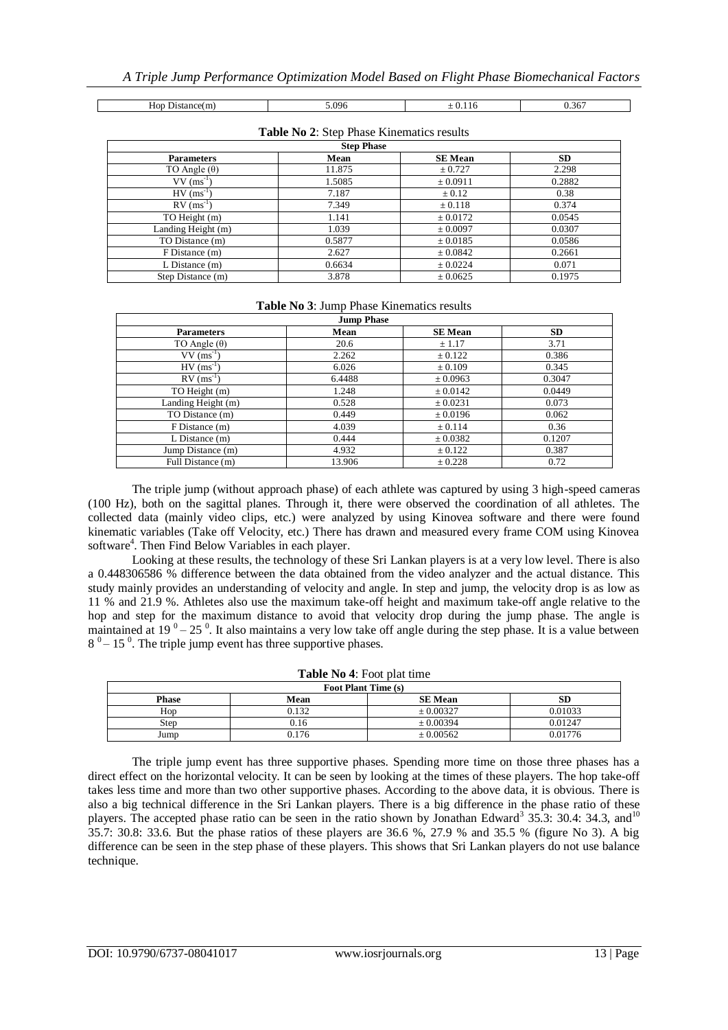Hop Distance(m)  $5.096 \t \pm 0.116 \t 0.367$ 

| <b>Step Phase</b>        |        |                |           |  |  |
|--------------------------|--------|----------------|-----------|--|--|
| <b>Parameters</b>        | Mean   | <b>SE</b> Mean | <b>SD</b> |  |  |
| TO Angle $(\theta)$      | 11.875 | ± 0.727        | 2.298     |  |  |
| $VV$ (ms <sup>-1</sup> ) | 1.5085 | ± 0.0911       | 0.2882    |  |  |
| $HV$ (ms <sup>-1</sup> ) | 7.187  | $\pm 0.12$     | 0.38      |  |  |
| $RV$ (ms <sup>-1</sup> ) | 7.349  | $\pm 0.118$    | 0.374     |  |  |
| TO Height (m)            | 1.141  | ± 0.0172       | 0.0545    |  |  |
| Landing Height (m)       | 1.039  | ± 0.0097       | 0.0307    |  |  |
| TO Distance (m)          | 0.5877 | ± 0.0185       | 0.0586    |  |  |
| F Distance (m)           | 2.627  | ± 0.0842       | 0.2661    |  |  |
| $L$ Distance $(m)$       | 0.6634 | ± 0.0224       | 0.071     |  |  |
| Step Distance (m)        | 3.878  | ± 0.0625       | 0.1975    |  |  |

|  |  | Table No 2: Step Phase Kinematics results |  |
|--|--|-------------------------------------------|--|
|  |  |                                           |  |

## **Table No 3**: Jump Phase Kinematics results

| <b>Jump Phase</b>        |        |                |           |  |  |
|--------------------------|--------|----------------|-----------|--|--|
| <b>Parameters</b>        | Mean   | <b>SE</b> Mean | <b>SD</b> |  |  |
| TO Angle $(\theta)$      | 20.6   | ± 1.17         | 3.71      |  |  |
| $VV$ (ms <sup>-1</sup> ) | 2.262  | $\pm$ 0.122    | 0.386     |  |  |
| $HV$ (ms <sup>-1</sup> ) | 6.026  | $\pm 0.109$    | 0.345     |  |  |
| $RV$ (ms <sup>-1</sup> ) | 6.4488 | ± 0.0963       | 0.3047    |  |  |
| TO Height (m)            | 1.248  | $\pm 0.0142$   | 0.0449    |  |  |
| Landing Height (m)       | 0.528  | $\pm 0.0231$   | 0.073     |  |  |
| TO Distance (m)          | 0.449  | ± 0.0196       | 0.062     |  |  |
| $F$ Distance $(m)$       | 4.039  | ± 0.114        | 0.36      |  |  |
| $L$ Distance $(m)$       | 0.444  | ± 0.0382       | 0.1207    |  |  |
| Jump Distance (m)        | 4.932  | ± 0.122        | 0.387     |  |  |
| Full Distance (m)        | 13.906 | ± 0.228        | 0.72      |  |  |

The triple jump (without approach phase) of each athlete was captured by using 3 high-speed cameras (100 Hz), both on the sagittal planes. Through it, there were observed the coordination of all athletes. The collected data (mainly video clips, etc.) were analyzed by using Kinovea software and there were found kinematic variables (Take off Velocity, etc.) There has drawn and measured every frame COM using Kinovea software<sup>4</sup>. Then Find Below Variables in each player.

Looking at these results, the technology of these Sri Lankan players is at a very low level. There is also a 0.448306586 % difference between the data obtained from the video analyzer and the actual distance. This study mainly provides an understanding of velocity and angle. In step and jump, the velocity drop is as low as 11 % and 21.9 %. Athletes also use the maximum take-off height and maximum take-off angle relative to the hop and step for the maximum distance to avoid that velocity drop during the jump phase. The angle is maintained at  $19^0 - 25^0$ . It also maintains a very low take off angle during the step phase. It is a value between  $8<sup>0</sup> - 15<sup>0</sup>$ . The triple jump event has three supportive phases.

| <b>Table No 4:</b> Foot plat time            |       |               |         |  |  |
|----------------------------------------------|-------|---------------|---------|--|--|
| Foot Plant Time (s)                          |       |               |         |  |  |
| SD<br>Mean<br><b>SE Mean</b><br><b>Phase</b> |       |               |         |  |  |
| Hop                                          | 0.132 | $\pm 0.00327$ | 0.01033 |  |  |
| Step                                         | 0.16  | $\pm 0.00394$ | 0.01247 |  |  |
| Jump                                         | 0.176 | $\pm 0.00562$ | 0.01776 |  |  |

The triple jump event has three supportive phases. Spending more time on those three phases has a direct effect on the horizontal velocity. It can be seen by looking at the times of these players. The hop take-off takes less time and more than two other supportive phases. According to the above data, it is obvious. There is also a big technical difference in the Sri Lankan players. There is a big difference in the phase ratio of these players. The accepted phase ratio can be seen in the ratio shown by Jonathan Edward<sup>3</sup> 35.3: 30.4: 34.3, and<sup>10</sup> 35.7: 30.8: 33.6. But the phase ratios of these players are 36.6 %, 27.9 % and 35.5 % (figure No 3). A big difference can be seen in the step phase of these players. This shows that Sri Lankan players do not use balance technique.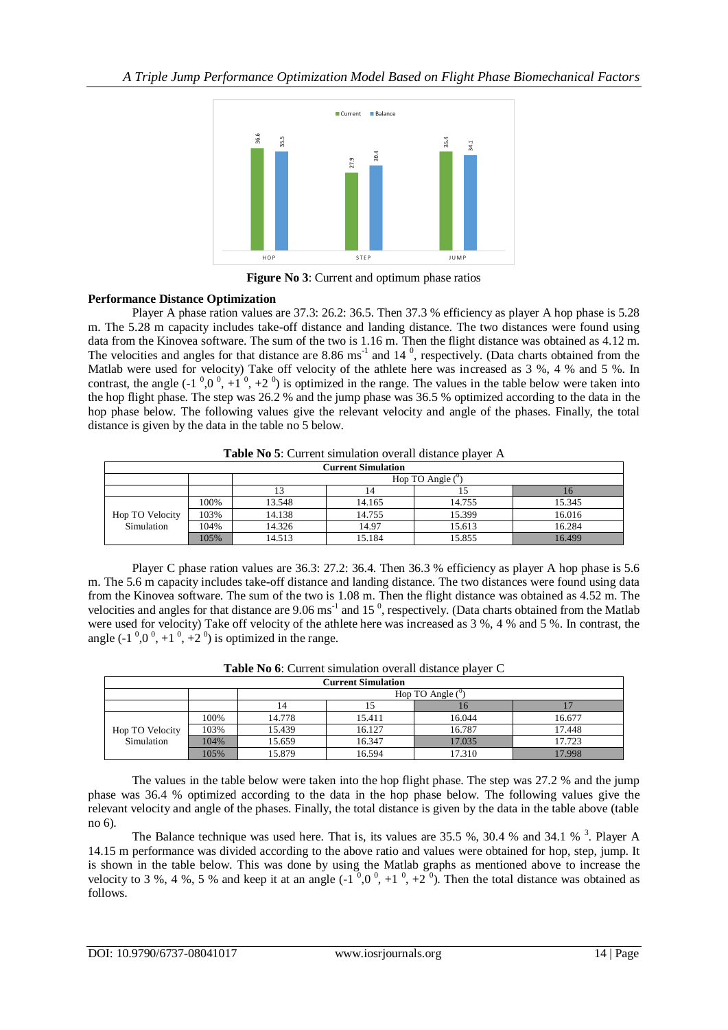

**Figure No 3:** Current and optimum phase ratios

## **Performance Distance Optimization**

Player A phase ration values are 37.3: 26.2: 36.5. Then 37.3 % efficiency as player A hop phase is 5.28 m. The 5.28 m capacity includes take-off distance and landing distance. The two distances were found using data from the Kinovea software. The sum of the two is 1.16 m. Then the flight distance was obtained as 4.12 m. The velocities and angles for that distance are  $8.86 \text{ ms}^{-1}$  and  $14^{\circ}$ , respectively. (Data charts obtained from the Matlab were used for velocity) Take off velocity of the athlete here was increased as 3 %, 4 % and 5 %. In contrast, the angle  $(-1, 0, 0, 0, +1, 0, +2, 0)$  is optimized in the range. The values in the table below were taken into the hop flight phase. The step was 26.2 % and the jump phase was 36.5 % optimized according to the data in the hop phase below. The following values give the relevant velocity and angle of the phases. Finally, the total distance is given by the data in the table no 5 below.

| Table No 5: Current simulation overall distance player A |  |  |  |
|----------------------------------------------------------|--|--|--|
|                                                          |  |  |  |

|                 | <b>Current Simulation</b> |        |                         |        |        |
|-----------------|---------------------------|--------|-------------------------|--------|--------|
|                 |                           |        | Hop TO Angle $(^\circ)$ |        |        |
|                 |                           |        | 14                      |        |        |
|                 | 100%                      | 13.548 | 14.165                  | 14.755 | 15.345 |
| Hop TO Velocity | 103%                      | 14.138 | 14.755                  | 15.399 | 16.016 |
| Simulation      | 104%                      | 14.326 | 14.97                   | 15.613 | 16.284 |
|                 | 105%                      | 14.513 | 15.184                  | 15.855 | 16.499 |

Player C phase ration values are 36.3: 27.2: 36.4. Then 36.3 % efficiency as player A hop phase is 5.6 m. The 5.6 m capacity includes take-off distance and landing distance. The two distances were found using data from the Kinovea software. The sum of the two is 1.08 m. Then the flight distance was obtained as 4.52 m. The velocities and angles for that distance are  $9.06 \text{ ms}^{-1}$  and 15<sup>0</sup>, respectively. (Data charts obtained from the Matlab were used for velocity) Take off velocity of the athlete here was increased as 3 %, 4 % and 5 %. In contrast, the angle  $(-1, 0, 0, 0, +1, 0, +2, 0)$  is optimized in the range.

| <b>Current Simulation</b> |      |        |        |                               |        |
|---------------------------|------|--------|--------|-------------------------------|--------|
|                           |      |        |        | Hop TO Angle $($ <sup>o</sup> |        |
|                           |      | 14     |        | 10                            |        |
|                           | 100% | 14.778 | 15.411 | 16.044                        | 16.677 |
| Hop TO Velocity           | 103% | 15.439 | 16.127 | 16.787                        | 17.448 |
| Simulation                | 104% | 15.659 | 16.347 | 17.035                        | 17.723 |
|                           | 105% | 15.879 | 16.594 | 17.310                        | 17.998 |

**Table No 6**: Current simulation overall distance player C

The values in the table below were taken into the hop flight phase. The step was 27.2 % and the jump phase was 36.4 % optimized according to the data in the hop phase below. The following values give the relevant velocity and angle of the phases. Finally, the total distance is given by the data in the table above (table no 6).

The Balance technique was used here. That is, its values are 35.5 %, 30.4 % and 34.1 %  $3$ . Player A 14.15 m performance was divided according to the above ratio and values were obtained for hop, step, jump. It is shown in the table below. This was done by using the Matlab graphs as mentioned above to increase the velocity to 3 %, 4 %, 5 % and keep it at an angle  $(-1^0, 0^0, +1^0, +2^0)$ . Then the total distance was obtained as follows.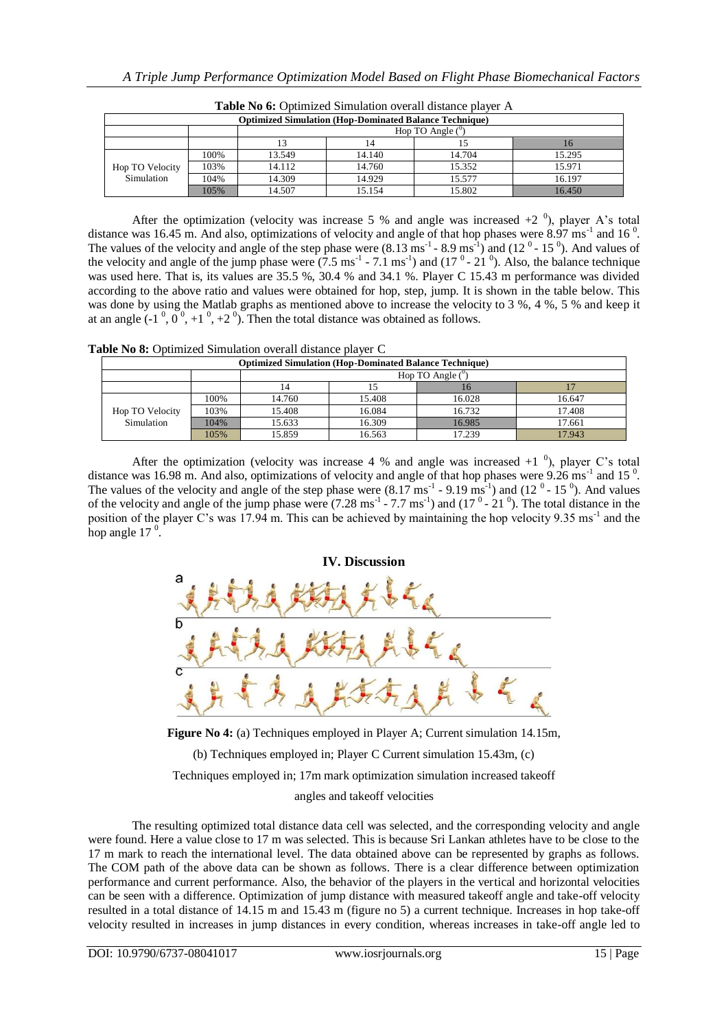| <b>Optimized Simulation (Hop-Dominated Balance Technique)</b> |      |                    |        |        |        |
|---------------------------------------------------------------|------|--------------------|--------|--------|--------|
|                                                               |      | Hop TO Angle $(°)$ |        |        |        |
|                                                               |      |                    | 14     |        | 10     |
|                                                               | 100% | 13.549             | 14.140 | 14.704 | 15.295 |
| Hop TO Velocity                                               | 103% | 14.112             | 14.760 | 15.352 | 15.971 |
| Simulation                                                    | 104% | 14.309             | 14.929 | 15.577 | 16.197 |
|                                                               | 105% | 14.507             | 15.154 | 15.802 | 16.450 |

**Table No 6:** Optimized Simulation overall distance player A

After the optimization (velocity was increase 5 % and angle was increased  $+2$ <sup>0</sup>), player A's total distance was 16.45 m. And also, optimizations of velocity and angle of that hop phases were  $8.97 \text{ ms}^{-1}$  and 16<sup>0</sup>. The values of the velocity and angle of the step phase were  $(8.13 \text{ ms}^{-1} - 8.9 \text{ ms}^{-1})$  and  $(12^{\circ} - 15^{\circ})$ . And values of the velocity and angle of the jump phase were  $(7.5 \text{ ms}^{-1}$  -  $7.1 \text{ ms}^{-1})$  and  $(17^{\circ}$ -  $21^{\circ})$ . Also, the balance technique was used here. That is, its values are 35.5 %, 30.4 % and 34.1 %. Player C 15.43 m performance was divided according to the above ratio and values were obtained for hop, step, jump. It is shown in the table below. This was done by using the Matlab graphs as mentioned above to increase the velocity to 3 %, 4 %, 5 % and keep it at an angle  $(-1^0, 0^0, +1^0, +2^0)$ . Then the total distance was obtained as follows.

**Table No 8:** Optimized Simulation overall distance player C

| <b>Optimized Simulation (Hop-Dominated Balance Technique)</b> |                               |        |        |        |        |
|---------------------------------------------------------------|-------------------------------|--------|--------|--------|--------|
|                                                               | Hop TO Angle $($ <sup>0</sup> |        |        |        |        |
|                                                               |                               | 14     |        | 10     |        |
|                                                               | 100%                          | 14.760 | 15.408 | 16.028 | 16.647 |
| Hop TO Velocity                                               | 103%                          | 15.408 | 16.084 | 16.732 | 17.408 |
| Simulation                                                    | 104%                          | 15.633 | 16.309 | 16.985 | 17.661 |
|                                                               | 105%                          | 15.859 | 16.563 | 17.239 | 17.943 |

After the optimization (velocity was increase 4 % and angle was increased  $+1$ <sup>0</sup>), player C's total distance was 16.98 m. And also, optimizations of velocity and angle of that hop phases were  $9.26 \text{ ms}^{-1}$  and 15<sup>0</sup>. The values of the velocity and angle of the step phase were  $(8.17 \text{ ms}^{-1} - 9.19 \text{ ms}^{-1})$  and  $(12^{\circ} - 15^{\circ})$ . And values of the velocity and angle of the jump phase were  $(7.28 \text{ ms}^{-1} - 7.7 \text{ ms}^{-1})$  and  $(17^{\circ} - 21^{\circ})$ . The total distance in the position of the player C's was 17.94 m. This can be achieved by maintaining the hop velocity 9.35 ms<sup>-1</sup> and the hop angle  $17<sup>0</sup>$ .



**Figure No 4:** (a) Techniques employed in Player A; Current simulation 14.15m,

(b) Techniques employed in; Player C Current simulation 15.43m, (c)

Techniques employed in; 17m mark optimization simulation increased takeoff

angles and takeoff velocities

The resulting optimized total distance data cell was selected, and the corresponding velocity and angle were found. Here a value close to 17 m was selected. This is because Sri Lankan athletes have to be close to the 17 m mark to reach the international level. The data obtained above can be represented by graphs as follows. The COM path of the above data can be shown as follows. There is a clear difference between optimization performance and current performance. Also, the behavior of the players in the vertical and horizontal velocities can be seen with a difference. Optimization of jump distance with measured takeoff angle and take-off velocity resulted in a total distance of 14.15 m and 15.43 m (figure no 5) a current technique. Increases in hop take-off velocity resulted in increases in jump distances in every condition, whereas increases in take-off angle led to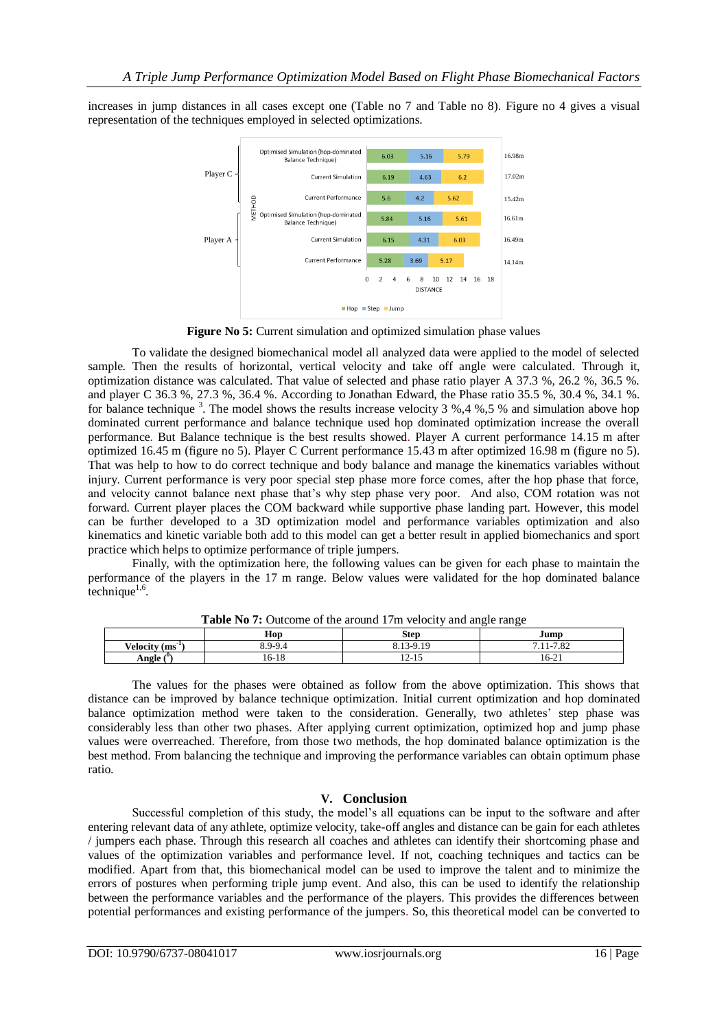increases in jump distances in all cases except one (Table no 7 and Table no 8). Figure no 4 gives a visual representation of the techniques employed in selected optimizations.



**Figure No 5:** Current simulation and optimized simulation phase values

To validate the designed biomechanical model all analyzed data were applied to the model of selected sample. Then the results of horizontal, vertical velocity and take off angle were calculated. Through it, optimization distance was calculated. That value of selected and phase ratio player A 37.3 %, 26.2 %, 36.5 %. and player C 36.3 %, 27.3 %, 36.4 %. According to Jonathan Edward, the Phase ratio 35.5 %, 30.4 %, 34.1 %. for balance technique <sup>3</sup>. The model shows the results increase velocity 3 %,4 %,5 % and simulation above hop dominated current performance and balance technique used hop dominated optimization increase the overall performance. But Balance technique is the best results showed. Player A current performance 14.15 m after optimized 16.45 m (figure no 5). Player C Current performance 15.43 m after optimized 16.98 m (figure no 5). That was help to how to do correct technique and body balance and manage the kinematics variables without injury. Current performance is very poor special step phase more force comes, after the hop phase that force, and velocity cannot balance next phase that's why step phase very poor. And also, COM rotation was not forward. Current player places the COM backward while supportive phase landing part. However, this model can be further developed to a 3D optimization model and performance variables optimization and also kinematics and kinetic variable both add to this model can get a better result in applied biomechanics and sport practice which helps to optimize performance of triple jumpers.

Finally, with the optimization here, the following values can be given for each phase to maintain the performance of the players in the 17 m range. Below values were validated for the hop dominated balance  $\text{technique}^{1,6}$ .

|                      | Hop     | <b>Step</b>              | Jump                   |
|----------------------|---------|--------------------------|------------------------|
| <b>Velocity (ms)</b> | 8.9-9.4 | 2.19<br>$8,13-9$<br>0.IJ | 700<br>71<br>/.11-/.82 |
| $\sim$<br>Angle      | 16-18   | $12 - 15$                | $16 - 21$              |

**Table No 7:** Outcome of the around 17m velocity and angle range

The values for the phases were obtained as follow from the above optimization. This shows that distance can be improved by balance technique optimization. Initial current optimization and hop dominated balance optimization method were taken to the consideration. Generally, two athletes' step phase was considerably less than other two phases. After applying current optimization, optimized hop and jump phase values were overreached. Therefore, from those two methods, the hop dominated balance optimization is the best method. From balancing the technique and improving the performance variables can obtain optimum phase ratio.

## **V. Conclusion**

Successful completion of this study, the model's all equations can be input to the software and after entering relevant data of any athlete, optimize velocity, take-off angles and distance can be gain for each athletes / jumpers each phase. Through this research all coaches and athletes can identify their shortcoming phase and values of the optimization variables and performance level. If not, coaching techniques and tactics can be modified. Apart from that, this biomechanical model can be used to improve the talent and to minimize the errors of postures when performing triple jump event. And also, this can be used to identify the relationship between the performance variables and the performance of the players. This provides the differences between potential performances and existing performance of the jumpers. So, this theoretical model can be converted to